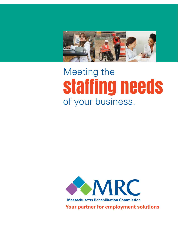

## Meeting the staffing needs of your business.



**Massachusetts Rehabilitation Commission** 

**Your partner for employment solutions**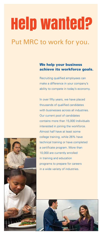# Help wanted?

## Put MRC to work for you.

#### We help your business achieve its workforce goals.

Recruiting qualified employees can make a difference in your company's ability to compete in today's economy.

In over fifty years, we have placed thousands of qualified candidates with businesses across all industries. Our current pool of candidates contains more than 15,000 individuals interested in joining the workforce. Almost half have at least some college training, while 26% have technical training or have completed a certificate program. More than 10,000 are currently enrolled in training and education programs to prepare for careers in a wide variety of industries.



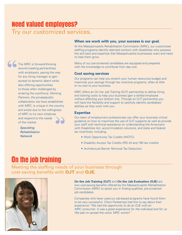## Need valued employees? Try our customized services.

The MRC is forward-thinking around creating partnerships with employers, paving the way for any hiring manager to gain access to dynamic talent while also offering opportunities to those often challenged by entering the workforce. Working Partners, the private/public collaboration we have established with MRC, is unique in the country and exists due to the willingness of MRC to try new initiatives and respond to the needs of the market. **" "**

> *- Spaulding Rehabilitation Network*

#### **When we work with you, your success is our goal.**

At the Massachusetts Rehabilitation Commission (MRC), our customized staffing programs identify talented workers with disabilities who possess the skill sets and expertise that Massachusetts businesses want and need to help them grow.

Many of our pre-screened candidates are equipped and prepared with the knowledge to contribute from day one.

#### **Cost saving services**

Our programs can help you stretch your human resources budget and maximize your savings through tax incentive programs, often at little or no cost to your business.

MRC offers an On the Job Training (OJT) partnership to defray hiring and training costs to help your business gain a skilled employee without affecting your bottom line. Through an OJT partnership you will have the flexibility and support to carefully identify candidates' abilities as they work with you.

#### **Expertise**

Our team of employment professionals can offer your business critical guidance on how to maximize the use of OJT supports as well as provide your staff with technical assistance on understanding the Americans with Disabilities Act, accommodation solutions, and state and federal tax incentives, including:

- Work Opportunity Tax Credits (WOTC)
- Disability Access Tax Credits (IRS 44 and 190 tax credits)
- Architectural Barrier Removal Tax Deduction

## On the job training

Meeting the staffing needs of your business through cost-saving benefits with **OJT** and **OJE**.



**On the Job Training (OJT)** and **On the Job Evaluation (OJE)** are two cost-saving benefits offered by the Massachusetts Rehabilitation Commission (MRC) to assist you in finding qualified, pre-screened job candidates.

Companies who have used our job-based programs have found them to be very successful. Client Paratemps had this to say about their experience:*"We had the opportunity to do an OJE with an MRC consumer. It was a great experience for the individual and for us. We plan to spread the word. MRC works!"*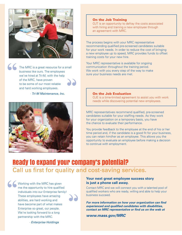

The MRC is a great resource for a small business like ours. The employees we've hired at Tri-M, with the help of the MRC, have proven to be some of our most reliable and hard working employees. **" "**

*- Tri-M Maintenance, Inc.*



#### On the Job Training

OJT is an opportunity to defray the costs associated with hiring and training a new employee through an agreement with MRC.

The process begins with your MRC representative recommending qualified pre-screened candidates suitable for your work needs. In order to reduce the cost of bringing a new employee up to speed, MRC provides funds to offset training costs for your new hire.

Your MRC representative is available for ongoing communication throughout the training period. We work with you every step of the way to make sure your business needs are met.

#### On the Job Evaluation

OJE is a time-limited agreement to assist you with work needs while discovering potential new employees.

MRC representatives recommend qualified, pre-screened candidates suitable for your staffing needs. As they work for your organization on a temporary basis, you have the chance to evaluate their performance.

You provide feedback to the employee at the end of his or her time period and, if the candidate is a good fit for your business, you can retain him/her as an employee. This allows you the opportunity to evaluate an employee before making a decision to continue with employment.

## Ready to expand your company's potential? Call us first for quality and cost-saving services.

Working with the MRC has given me the opportunity to hire qualified individuals into our Enterprise family! These employees have amazing abilities, are hard working and have become part of what makes Enterprise so great, our people. We're looking forward to a long partnership with the MRC. **""**



Contact MRC and we will connect you with a talented pool of qualified workers who are ready, willing and able to help your business succeed.

*For more information on how your organization can find experienced and qualified candidates with disabilities, contact an MRC representative or find us on the web at* 

*www.mass.gov/MRC*

*- Enterprise Holdings*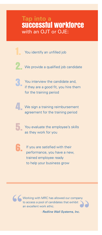### **Tap into a** successful workforce with an OJT or OJE:

- You identify an unfilled job
- 2. We provide a qualified job candidate
- **3.** You interview the candidate and, if they are a good fit, you hire them for the training period
- 4. We sign a training reimbursement agreement for the training period
	- You evaluate the employee's skills as they work for you
- 

If you are satisfied with their performance, you have a new, trained employee ready to help your business grow

Working with MRC has allowed our company to access a pool of candidates that exhibit an excellent work ethic. **"Example 18 Working with MRC has allowed our company<br>to access a pool of candidates that exhibit<br>an excellent work ethic.<br>Figure 18 Posterns, Inc.** 

*- Redline Wall Systems, Inc.*